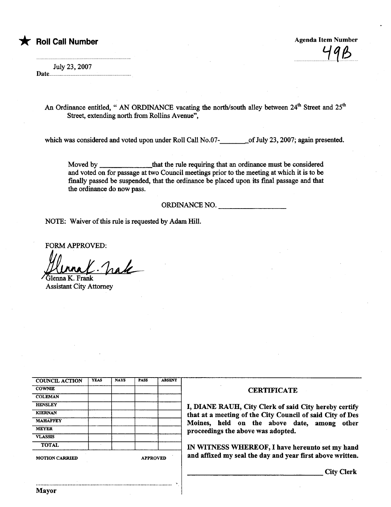## \* Roll Call Number Agenda Item Number Agenda Item Number

. uuuuuuuuu.uutj.1(¿uu .

July 23, 2007

Date......

An Ordinance entitled, " AN ORDINANCE vacating the north/south alley between  $24^{th}$  Street and  $25^{th}$ Street, extending north from Rollins Avenue",

which was considered and voted upon under Roll Call No.07- of July 23, 2007; again presented.

Moved by \_\_\_\_\_\_\_\_\_\_\_\_\_\_\_\_that the rule requiring that an ordinance must be considered and voted on for passage at two Council meetings prior to the meeting at which it is to be finally passed be suspended, that the ordinance be placed upon its final passage and that the ordinance do now pass.

,

ORDINANCE NO.

NOTE: Waiver of this rule is requested by Adam Hill.

FORM APPROVED:

Ulenna (C. Trake

**Assistant City Attorney** 

| <b>COUNCIL ACTION</b> | <b>YEAS</b> | <b>NAYS</b>     | <b>PASS</b> | <b>ABSENT</b> |
|-----------------------|-------------|-----------------|-------------|---------------|
| <b>COWNIE</b>         |             |                 |             |               |
| <b>COLEMAN</b>        |             |                 |             |               |
| <b>HENSLEY</b>        |             |                 |             |               |
| <b>KIERNAN</b>        |             |                 |             |               |
| <b>MAHAFFEY</b>       |             |                 |             |               |
| <b>MEYER</b>          |             |                 |             |               |
| <b>VLASSIS</b>        |             |                 |             |               |
| <b>TOTAL</b>          | ×           |                 |             |               |
| <b>MOTION CARRIED</b> |             | <b>APPROVED</b> |             |               |

## **CERTIFICATE**

I, DIANE RAUH, City Clerk of said City hereby certify that at a meeting of the City Council of said City of Des<br>Moines, held on the above date, among other proceedings the above was adopted.

IN WITNESS WHEREOF, I have hereunto set my hand and affixed my seal the day and year first above written.

City Clerk

..........................................................................................